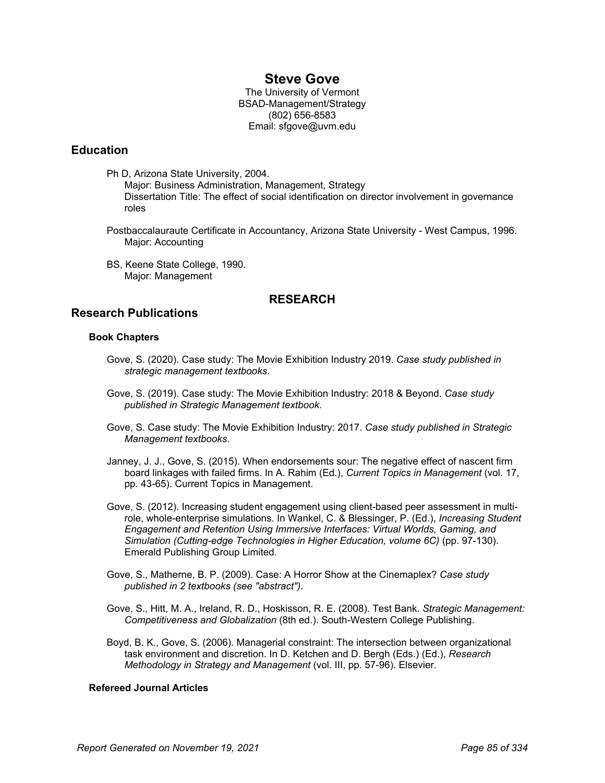# **Steve Gove**

The University of Vermont BSAD-Management/Strategy (802) 656-8583 Email: sfgove@uvm.edu

### **Education**

Ph D, Arizona State University, 2004.

- Major: Business Administration, Management, Strategy Dissertation Title: The effect of social identification on director involvement in governance roles
- Postbaccalauraute Certificate in Accountancy, Arizona State University West Campus, 1996. Major: Accounting
- BS, Keene State College, 1990. Major: Management

## **RESEARCH**

### **Research Publications**

#### **Book Chapters**

- Gove, S. (2020). Case study: The Movie Exhibition Industry 2019. *Case study published in strategic management textbooks*.
- Gove, S. (2019). Case study: The Movie Exhibition Industry: 2018 & Beyond. *Case study published in Strategic Management textbook*.
- Gove, S. Case study: The Movie Exhibition Industry: 2017. *Case study published in Strategic Management textbooks*.
- Janney, J. J., Gove, S. (2015). When endorsements sour: The negative effect of nascent firm board linkages with failed firms. In A. Rahim (Ed.), *Current Topics in Management* (vol. 17, pp. 43-65). Current Topics in Management.
- Gove, S. (2012). Increasing student engagement using client-based peer assessment in multirole, whole-enterprise simulations. In Wankel, C. & Blessinger, P. (Ed.), *Increasing Student Engagement and Retention Using Immersive Interfaces: Virtual Worlds, Gaming, and Simulation (Cutting-edge Technologies in Higher Education, volume 6C)* (pp. 97-130). Emerald Publishing Group Limited.
- Gove, S., Matherne, B. P. (2009). Case: A Horror Show at the Cinemaplex? *Case study published in 2 textbooks (see "abstract")*.
- Gove, S., Hitt, M. A., Ireland, R. D., Hoskisson, R. E. (2008). Test Bank. *Strategic Management: Competitiveness and Globalization* (8th ed.). South-Western College Publishing.
- Boyd, B. K., Gove, S. (2006). Managerial constraint: The intersection between organizational task environment and discretion. In D. Ketchen and D. Bergh (Eds.) (Ed.), *Research Methodology in Strategy and Management* (vol. III, pp. 57-96). Elsevier.

#### **Refereed Journal Articles**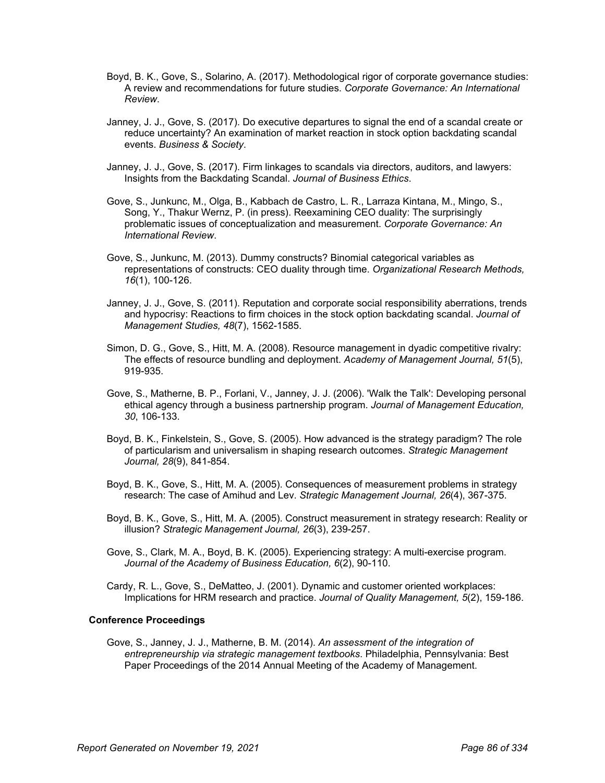- Boyd, B. K., Gove, S., Solarino, A. (2017). Methodological rigor of corporate governance studies: A review and recommendations for future studies. *Corporate Governance: An International Review*.
- Janney, J. J., Gove, S. (2017). Do executive departures to signal the end of a scandal create or reduce uncertainty? An examination of market reaction in stock option backdating scandal events. *Business & Society*.
- Janney, J. J., Gove, S. (2017). Firm linkages to scandals via directors, auditors, and lawyers: Insights from the Backdating Scandal. *Journal of Business Ethics*.
- Gove, S., Junkunc, M., Olga, B., Kabbach de Castro, L. R., Larraza Kintana, M., Mingo, S., Song, Y., Thakur Wernz, P. (in press). Reexamining CEO duality: The surprisingly problematic issues of conceptualization and measurement. *Corporate Governance: An International Review*.
- Gove, S., Junkunc, M. (2013). Dummy constructs? Binomial categorical variables as representations of constructs: CEO duality through time. *Organizational Research Methods, 16*(1), 100-126.
- Janney, J. J., Gove, S. (2011). Reputation and corporate social responsibility aberrations, trends and hypocrisy: Reactions to firm choices in the stock option backdating scandal. *Journal of Management Studies, 48*(7), 1562-1585.
- Simon, D. G., Gove, S., Hitt, M. A. (2008). Resource management in dyadic competitive rivalry: The effects of resource bundling and deployment. *Academy of Management Journal, 51*(5), 919-935.
- Gove, S., Matherne, B. P., Forlani, V., Janney, J. J. (2006). 'Walk the Talk': Developing personal ethical agency through a business partnership program. *Journal of Management Education, 30*, 106-133.
- Boyd, B. K., Finkelstein, S., Gove, S. (2005). How advanced is the strategy paradigm? The role of particularism and universalism in shaping research outcomes. *Strategic Management Journal, 28*(9), 841-854.
- Boyd, B. K., Gove, S., Hitt, M. A. (2005). Consequences of measurement problems in strategy research: The case of Amihud and Lev. *Strategic Management Journal, 26*(4), 367-375.
- Boyd, B. K., Gove, S., Hitt, M. A. (2005). Construct measurement in strategy research: Reality or illusion? *Strategic Management Journal, 26*(3), 239-257.
- Gove, S., Clark, M. A., Boyd, B. K. (2005). Experiencing strategy: A multi-exercise program. *Journal of the Academy of Business Education, 6*(2), 90-110.
- Cardy, R. L., Gove, S., DeMatteo, J. (2001). Dynamic and customer oriented workplaces: Implications for HRM research and practice. *Journal of Quality Management, 5*(2), 159-186.

#### **Conference Proceedings**

Gove, S., Janney, J. J., Matherne, B. M. (2014). *An assessment of the integration of entrepreneurship via strategic management textbooks*. Philadelphia, Pennsylvania: Best Paper Proceedings of the 2014 Annual Meeting of the Academy of Management.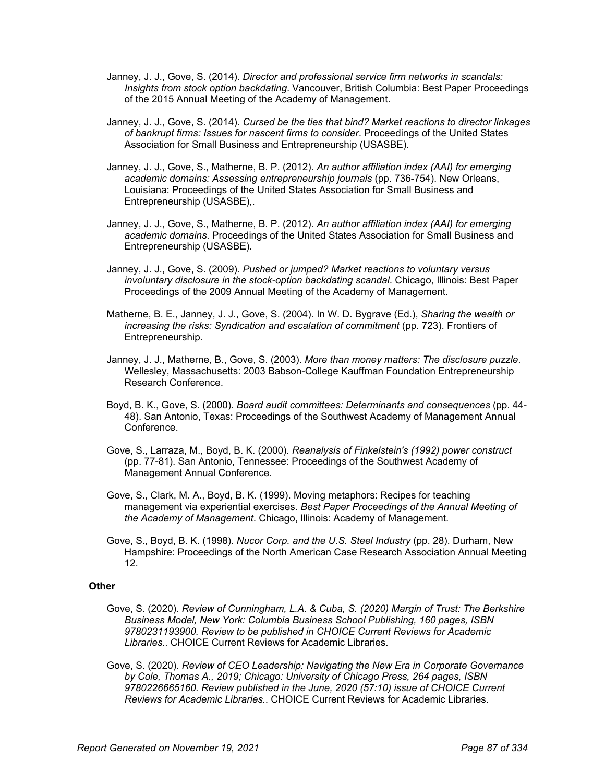- Janney, J. J., Gove, S. (2014). *Director and professional service firm networks in scandals: Insights from stock option backdating*. Vancouver, British Columbia: Best Paper Proceedings of the 2015 Annual Meeting of the Academy of Management.
- Janney, J. J., Gove, S. (2014). *Cursed be the ties that bind? Market reactions to director linkages of bankrupt firms: Issues for nascent firms to consider*. Proceedings of the United States Association for Small Business and Entrepreneurship (USASBE).
- Janney, J. J., Gove, S., Matherne, B. P. (2012). *An author affiliation index (AAI) for emerging academic domains: Assessing entrepreneurship journals* (pp. 736-754). New Orleans, Louisiana: Proceedings of the United States Association for Small Business and Entrepreneurship (USASBE),.
- Janney, J. J., Gove, S., Matherne, B. P. (2012). *An author affiliation index (AAI) for emerging academic domains*. Proceedings of the United States Association for Small Business and Entrepreneurship (USASBE).
- Janney, J. J., Gove, S. (2009). *Pushed or jumped? Market reactions to voluntary versus involuntary disclosure in the stock-option backdating scandal*. Chicago, Illinois: Best Paper Proceedings of the 2009 Annual Meeting of the Academy of Management.
- Matherne, B. E., Janney, J. J., Gove, S. (2004). In W. D. Bygrave (Ed.), *Sharing the wealth or increasing the risks: Syndication and escalation of commitment* (pp. 723). Frontiers of Entrepreneurship.
- Janney, J. J., Matherne, B., Gove, S. (2003). *More than money matters: The disclosure puzzle*. Wellesley, Massachusetts: 2003 Babson-College Kauffman Foundation Entrepreneurship Research Conference.
- Boyd, B. K., Gove, S. (2000). *Board audit committees: Determinants and consequences* (pp. 44- 48). San Antonio, Texas: Proceedings of the Southwest Academy of Management Annual Conference.
- Gove, S., Larraza, M., Boyd, B. K. (2000). *Reanalysis of Finkelstein's (1992) power construct* (pp. 77-81). San Antonio, Tennessee: Proceedings of the Southwest Academy of Management Annual Conference.
- Gove, S., Clark, M. A., Boyd, B. K. (1999). Moving metaphors: Recipes for teaching management via experiential exercises. *Best Paper Proceedings of the Annual Meeting of the Academy of Management*. Chicago, Illinois: Academy of Management.
- Gove, S., Boyd, B. K. (1998). *Nucor Corp. and the U.S. Steel Industry* (pp. 28). Durham, New Hampshire: Proceedings of the North American Case Research Association Annual Meeting 12.

#### **Other**

- Gove, S. (2020). *Review of Cunningham, L.A. & Cuba, S. (2020) Margin of Trust: The Berkshire Business Model, New York: Columbia Business School Publishing, 160 pages, ISBN 9780231193900. Review to be published in CHOICE Current Reviews for Academic Libraries.*. CHOICE Current Reviews for Academic Libraries.
- Gove, S. (2020). *Review of CEO Leadership: Navigating the New Era in Corporate Governance by Cole, Thomas A., 2019; Chicago: University of Chicago Press, 264 pages, ISBN 9780226665160. Review published in the June, 2020 (57:10) issue of CHOICE Current Reviews for Academic Libraries.*. CHOICE Current Reviews for Academic Libraries.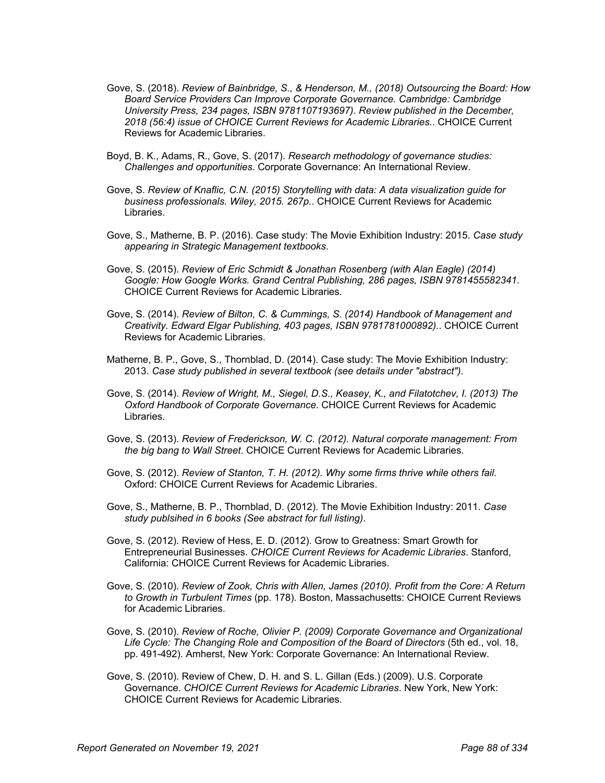- Gove, S. (2018). *Review of Bainbridge, S., & Henderson, M., (2018) Outsourcing the Board: How Board Service Providers Can Improve Corporate Governance. Cambridge: Cambridge University Press, 234 pages, ISBN 9781107193697). Review published in the December, 2018 (56:4) issue of CHOICE Current Reviews for Academic Libraries.*. CHOICE Current Reviews for Academic Libraries.
- Boyd, B. K., Adams, R., Gove, S. (2017). *Research methodology of governance studies: Challenges and opportunities*. Corporate Governance: An International Review.
- Gove, S. *Review of Knaflic, C.N. (2015) Storytelling with data: A data visualization guide for business professionals. Wiley, 2015. 267p.*. CHOICE Current Reviews for Academic Libraries.
- Gove, S., Matherne, B. P. (2016). Case study: The Movie Exhibition Industry: 2015. *Case study appearing in Strategic Management textbooks*.
- Gove, S. (2015). *Review of Eric Schmidt & Jonathan Rosenberg (with Alan Eagle) (2014) Google: How Google Works. Grand Central Publishing, 286 pages, ISBN 9781455582341*. CHOICE Current Reviews for Academic Libraries.
- Gove, S. (2014). *Review of Bilton, C. & Cummings, S. (2014) Handbook of Management and Creativity. Edward Elgar Publishing, 403 pages, ISBN 9781781000892).*. CHOICE Current Reviews for Academic Libraries.
- Matherne, B. P., Gove, S., Thornblad, D. (2014). Case study: The Movie Exhibition Industry: 2013. *Case study published in several textbook (see details under "abstract")*.
- Gove, S. (2014). *Review of Wright, M., Siegel, D.S., Keasey, K., and Filatotchev, I. (2013) The Oxford Handbook of Corporate Governance*. CHOICE Current Reviews for Academic Libraries.
- Gove, S. (2013). *Review of Frederickson, W. C. (2012). Natural corporate management: From the big bang to Wall Street*. CHOICE Current Reviews for Academic Libraries.
- Gove, S. (2012). *Review of Stanton, T. H. (2012). Why some firms thrive while others fail*. Oxford: CHOICE Current Reviews for Academic Libraries.
- Gove, S., Matherne, B. P., Thornblad, D. (2012). The Movie Exhibition Industry: 2011. *Case study publsihed in 6 books (See abstract for full listing)*.
- Gove, S. (2012). Review of Hess, E. D. (2012). Grow to Greatness: Smart Growth for Entrepreneurial Businesses. *CHOICE Current Reviews for Academic Libraries*. Stanford, California: CHOICE Current Reviews for Academic Libraries.
- Gove, S. (2010). *Review of Zook, Chris with Allen, James (2010). Profit from the Core: A Return to Growth in Turbulent Times* (pp. 178). Boston, Massachusetts: CHOICE Current Reviews for Academic Libraries.
- Gove, S. (2010). *Review of Roche, Olivier P. (2009) Corporate Governance and Organizational Life Cycle: The Changing Role and Composition of the Board of Directors* (5th ed., vol. 18, pp. 491-492). Amherst, New York: Corporate Governance: An International Review.
- Gove, S. (2010). Review of Chew, D. H. and S. L. Gillan (Eds.) (2009). U.S. Corporate Governance. *CHOICE Current Reviews for Academic Libraries*. New York, New York: CHOICE Current Reviews for Academic Libraries.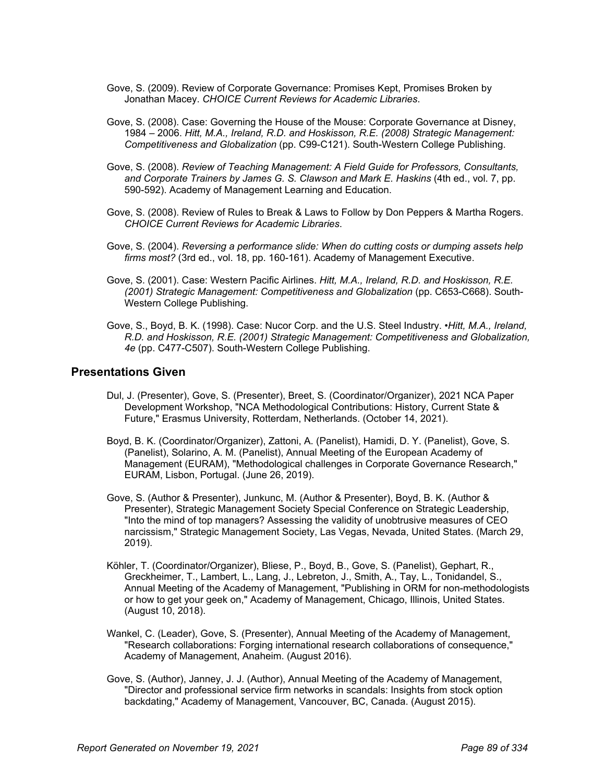- Gove, S. (2009). Review of Corporate Governance: Promises Kept, Promises Broken by Jonathan Macey. *CHOICE Current Reviews for Academic Libraries*.
- Gove, S. (2008). Case: Governing the House of the Mouse: Corporate Governance at Disney, 1984 – 2006. *Hitt, M.A., Ireland, R.D. and Hoskisson, R.E. (2008) Strategic Management: Competitiveness and Globalization* (pp. C99-C121). South-Western College Publishing.
- Gove, S. (2008). *Review of Teaching Management: A Field Guide for Professors, Consultants, and Corporate Trainers by James G. S. Clawson and Mark E. Haskins* (4th ed., vol. 7, pp. 590-592). Academy of Management Learning and Education.
- Gove, S. (2008). Review of Rules to Break & Laws to Follow by Don Peppers & Martha Rogers. *CHOICE Current Reviews for Academic Libraries*.
- Gove, S. (2004). *Reversing a performance slide: When do cutting costs or dumping assets help firms most?* (3rd ed., vol. 18, pp. 160-161). Academy of Management Executive.
- Gove, S. (2001). Case: Western Pacific Airlines. *Hitt, M.A., Ireland, R.D. and Hoskisson, R.E. (2001) Strategic Management: Competitiveness and Globalization* (pp. C653-C668). South-Western College Publishing.
- Gove, S., Boyd, B. K. (1998). Case: Nucor Corp. and the U.S. Steel Industry. *•Hitt, M.A., Ireland, R.D. and Hoskisson, R.E. (2001) Strategic Management: Competitiveness and Globalization, 4e* (pp. C477-C507). South-Western College Publishing.

#### **Presentations Given**

- Dul, J. (Presenter), Gove, S. (Presenter), Breet, S. (Coordinator/Organizer), 2021 NCA Paper Development Workshop, "NCA Methodological Contributions: History, Current State & Future," Erasmus University, Rotterdam, Netherlands. (October 14, 2021).
- Boyd, B. K. (Coordinator/Organizer), Zattoni, A. (Panelist), Hamidi, D. Y. (Panelist), Gove, S. (Panelist), Solarino, A. M. (Panelist), Annual Meeting of the European Academy of Management (EURAM), "Methodological challenges in Corporate Governance Research," EURAM, Lisbon, Portugal. (June 26, 2019).
- Gove, S. (Author & Presenter), Junkunc, M. (Author & Presenter), Boyd, B. K. (Author & Presenter), Strategic Management Society Special Conference on Strategic Leadership, "Into the mind of top managers? Assessing the validity of unobtrusive measures of CEO narcissism," Strategic Management Society, Las Vegas, Nevada, United States. (March 29, 2019).
- Köhler, T. (Coordinator/Organizer), Bliese, P., Boyd, B., Gove, S. (Panelist), Gephart, R., Greckheimer, T., Lambert, L., Lang, J., Lebreton, J., Smith, A., Tay, L., Tonidandel, S., Annual Meeting of the Academy of Management, "Publishing in ORM for non-methodologists or how to get your geek on," Academy of Management, Chicago, Illinois, United States. (August 10, 2018).
- Wankel, C. (Leader), Gove, S. (Presenter), Annual Meeting of the Academy of Management, "Research collaborations: Forging international research collaborations of consequence," Academy of Management, Anaheim. (August 2016).
- Gove, S. (Author), Janney, J. J. (Author), Annual Meeting of the Academy of Management, "Director and professional service firm networks in scandals: Insights from stock option backdating," Academy of Management, Vancouver, BC, Canada. (August 2015).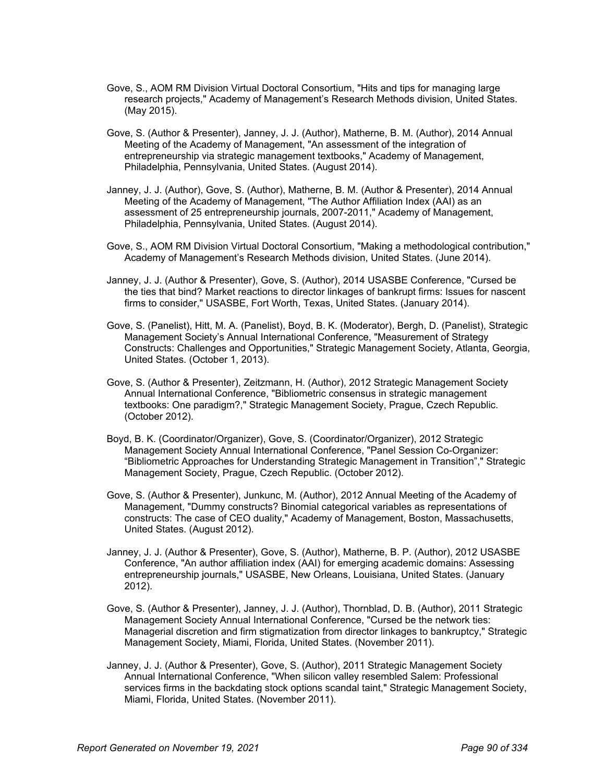- Gove, S., AOM RM Division Virtual Doctoral Consortium, "Hits and tips for managing large research projects," Academy of Management's Research Methods division, United States. (May 2015).
- Gove, S. (Author & Presenter), Janney, J. J. (Author), Matherne, B. M. (Author), 2014 Annual Meeting of the Academy of Management, "An assessment of the integration of entrepreneurship via strategic management textbooks," Academy of Management, Philadelphia, Pennsylvania, United States. (August 2014).
- Janney, J. J. (Author), Gove, S. (Author), Matherne, B. M. (Author & Presenter), 2014 Annual Meeting of the Academy of Management, "The Author Affiliation Index (AAI) as an assessment of 25 entrepreneurship journals, 2007-2011," Academy of Management, Philadelphia, Pennsylvania, United States. (August 2014).
- Gove, S., AOM RM Division Virtual Doctoral Consortium, "Making a methodological contribution," Academy of Management's Research Methods division, United States. (June 2014).
- Janney, J. J. (Author & Presenter), Gove, S. (Author), 2014 USASBE Conference, "Cursed be the ties that bind? Market reactions to director linkages of bankrupt firms: Issues for nascent firms to consider," USASBE, Fort Worth, Texas, United States. (January 2014).
- Gove, S. (Panelist), Hitt, M. A. (Panelist), Boyd, B. K. (Moderator), Bergh, D. (Panelist), Strategic Management Society's Annual International Conference, "Measurement of Strategy Constructs: Challenges and Opportunities," Strategic Management Society, Atlanta, Georgia, United States. (October 1, 2013).
- Gove, S. (Author & Presenter), Zeitzmann, H. (Author), 2012 Strategic Management Society Annual International Conference, "Bibliometric consensus in strategic management textbooks: One paradigm?," Strategic Management Society, Prague, Czech Republic. (October 2012).
- Boyd, B. K. (Coordinator/Organizer), Gove, S. (Coordinator/Organizer), 2012 Strategic Management Society Annual International Conference, "Panel Session Co-Organizer: "Bibliometric Approaches for Understanding Strategic Management in Transition"," Strategic Management Society, Prague, Czech Republic. (October 2012).
- Gove, S. (Author & Presenter), Junkunc, M. (Author), 2012 Annual Meeting of the Academy of Management, "Dummy constructs? Binomial categorical variables as representations of constructs: The case of CEO duality," Academy of Management, Boston, Massachusetts, United States. (August 2012).
- Janney, J. J. (Author & Presenter), Gove, S. (Author), Matherne, B. P. (Author), 2012 USASBE Conference, "An author affiliation index (AAI) for emerging academic domains: Assessing entrepreneurship journals," USASBE, New Orleans, Louisiana, United States. (January 2012).
- Gove, S. (Author & Presenter), Janney, J. J. (Author), Thornblad, D. B. (Author), 2011 Strategic Management Society Annual International Conference, "Cursed be the network ties: Managerial discretion and firm stigmatization from director linkages to bankruptcy," Strategic Management Society, Miami, Florida, United States. (November 2011).
- Janney, J. J. (Author & Presenter), Gove, S. (Author), 2011 Strategic Management Society Annual International Conference, "When silicon valley resembled Salem: Professional services firms in the backdating stock options scandal taint," Strategic Management Society, Miami, Florida, United States. (November 2011).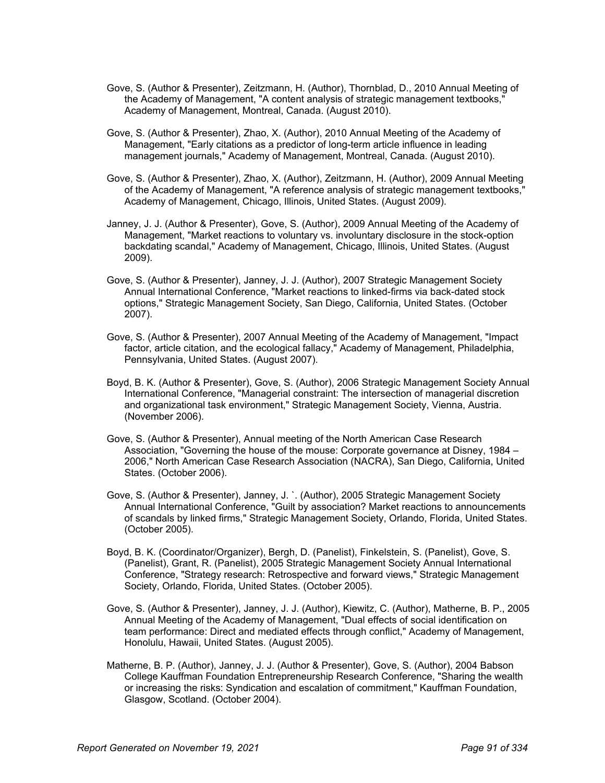- Gove, S. (Author & Presenter), Zeitzmann, H. (Author), Thornblad, D., 2010 Annual Meeting of the Academy of Management, "A content analysis of strategic management textbooks," Academy of Management, Montreal, Canada. (August 2010).
- Gove, S. (Author & Presenter), Zhao, X. (Author), 2010 Annual Meeting of the Academy of Management, "Early citations as a predictor of long-term article influence in leading management journals," Academy of Management, Montreal, Canada. (August 2010).
- Gove, S. (Author & Presenter), Zhao, X. (Author), Zeitzmann, H. (Author), 2009 Annual Meeting of the Academy of Management, "A reference analysis of strategic management textbooks," Academy of Management, Chicago, Illinois, United States. (August 2009).
- Janney, J. J. (Author & Presenter), Gove, S. (Author), 2009 Annual Meeting of the Academy of Management, "Market reactions to voluntary vs. involuntary disclosure in the stock-option backdating scandal," Academy of Management, Chicago, Illinois, United States. (August 2009).
- Gove, S. (Author & Presenter), Janney, J. J. (Author), 2007 Strategic Management Society Annual International Conference, "Market reactions to linked-firms via back-dated stock options," Strategic Management Society, San Diego, California, United States. (October 2007).
- Gove, S. (Author & Presenter), 2007 Annual Meeting of the Academy of Management, "Impact factor, article citation, and the ecological fallacy," Academy of Management, Philadelphia, Pennsylvania, United States. (August 2007).
- Boyd, B. K. (Author & Presenter), Gove, S. (Author), 2006 Strategic Management Society Annual International Conference, "Managerial constraint: The intersection of managerial discretion and organizational task environment," Strategic Management Society, Vienna, Austria. (November 2006).
- Gove, S. (Author & Presenter), Annual meeting of the North American Case Research Association, "Governing the house of the mouse: Corporate governance at Disney, 1984 – 2006," North American Case Research Association (NACRA), San Diego, California, United States. (October 2006).
- Gove, S. (Author & Presenter), Janney, J. `. (Author), 2005 Strategic Management Society Annual International Conference, "Guilt by association? Market reactions to announcements of scandals by linked firms," Strategic Management Society, Orlando, Florida, United States. (October 2005).
- Boyd, B. K. (Coordinator/Organizer), Bergh, D. (Panelist), Finkelstein, S. (Panelist), Gove, S. (Panelist), Grant, R. (Panelist), 2005 Strategic Management Society Annual International Conference, "Strategy research: Retrospective and forward views," Strategic Management Society, Orlando, Florida, United States. (October 2005).
- Gove, S. (Author & Presenter), Janney, J. J. (Author), Kiewitz, C. (Author), Matherne, B. P., 2005 Annual Meeting of the Academy of Management, "Dual effects of social identification on team performance: Direct and mediated effects through conflict," Academy of Management, Honolulu, Hawaii, United States. (August 2005).
- Matherne, B. P. (Author), Janney, J. J. (Author & Presenter), Gove, S. (Author), 2004 Babson College Kauffman Foundation Entrepreneurship Research Conference, "Sharing the wealth or increasing the risks: Syndication and escalation of commitment," Kauffman Foundation, Glasgow, Scotland. (October 2004).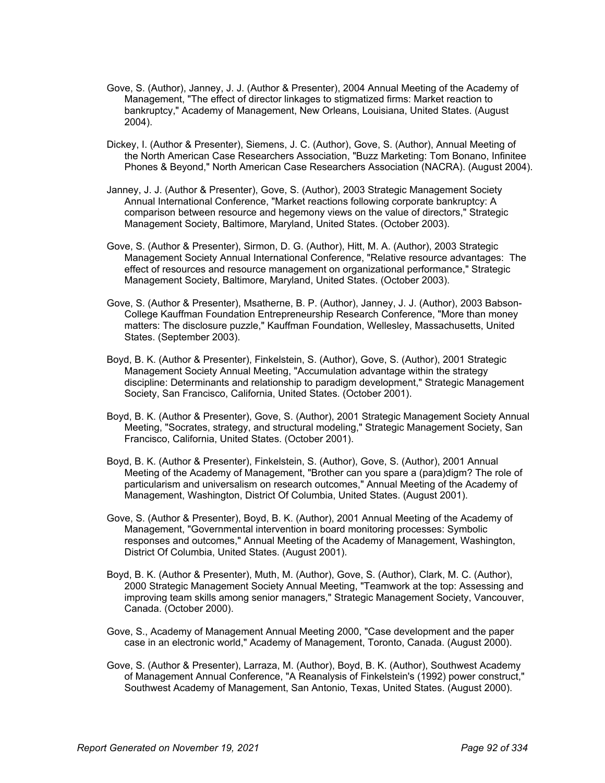- Gove, S. (Author), Janney, J. J. (Author & Presenter), 2004 Annual Meeting of the Academy of Management, "The effect of director linkages to stigmatized firms: Market reaction to bankruptcy," Academy of Management, New Orleans, Louisiana, United States. (August 2004).
- Dickey, I. (Author & Presenter), Siemens, J. C. (Author), Gove, S. (Author), Annual Meeting of the North American Case Researchers Association, "Buzz Marketing: Tom Bonano, Infinitee Phones & Beyond," North American Case Researchers Association (NACRA). (August 2004).
- Janney, J. J. (Author & Presenter), Gove, S. (Author), 2003 Strategic Management Society Annual International Conference, "Market reactions following corporate bankruptcy: A comparison between resource and hegemony views on the value of directors," Strategic Management Society, Baltimore, Maryland, United States. (October 2003).
- Gove, S. (Author & Presenter), Sirmon, D. G. (Author), Hitt, M. A. (Author), 2003 Strategic Management Society Annual International Conference, "Relative resource advantages: The effect of resources and resource management on organizational performance," Strategic Management Society, Baltimore, Maryland, United States. (October 2003).
- Gove, S. (Author & Presenter), Msatherne, B. P. (Author), Janney, J. J. (Author), 2003 Babson-College Kauffman Foundation Entrepreneurship Research Conference, "More than money matters: The disclosure puzzle," Kauffman Foundation, Wellesley, Massachusetts, United States. (September 2003).
- Boyd, B. K. (Author & Presenter), Finkelstein, S. (Author), Gove, S. (Author), 2001 Strategic Management Society Annual Meeting, "Accumulation advantage within the strategy discipline: Determinants and relationship to paradigm development," Strategic Management Society, San Francisco, California, United States. (October 2001).
- Boyd, B. K. (Author & Presenter), Gove, S. (Author), 2001 Strategic Management Society Annual Meeting, "Socrates, strategy, and structural modeling," Strategic Management Society, San Francisco, California, United States. (October 2001).
- Boyd, B. K. (Author & Presenter), Finkelstein, S. (Author), Gove, S. (Author), 2001 Annual Meeting of the Academy of Management, "Brother can you spare a (para)digm? The role of particularism and universalism on research outcomes," Annual Meeting of the Academy of Management, Washington, District Of Columbia, United States. (August 2001).
- Gove, S. (Author & Presenter), Boyd, B. K. (Author), 2001 Annual Meeting of the Academy of Management, "Governmental intervention in board monitoring processes: Symbolic responses and outcomes," Annual Meeting of the Academy of Management, Washington, District Of Columbia, United States. (August 2001).
- Boyd, B. K. (Author & Presenter), Muth, M. (Author), Gove, S. (Author), Clark, M. C. (Author), 2000 Strategic Management Society Annual Meeting, "Teamwork at the top: Assessing and improving team skills among senior managers," Strategic Management Society, Vancouver, Canada. (October 2000).
- Gove, S., Academy of Management Annual Meeting 2000, "Case development and the paper case in an electronic world," Academy of Management, Toronto, Canada. (August 2000).
- Gove, S. (Author & Presenter), Larraza, M. (Author), Boyd, B. K. (Author), Southwest Academy of Management Annual Conference, "A Reanalysis of Finkelstein's (1992) power construct," Southwest Academy of Management, San Antonio, Texas, United States. (August 2000).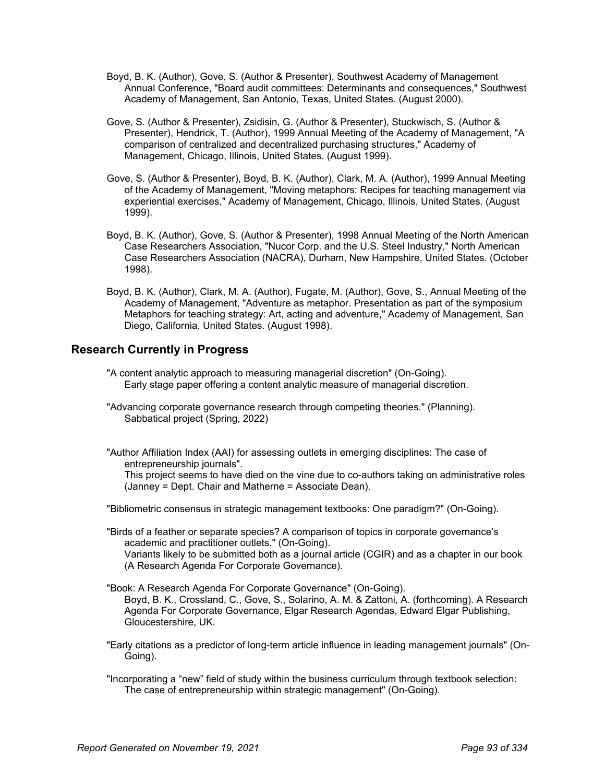- Boyd, B. K. (Author), Gove, S. (Author & Presenter), Southwest Academy of Management Annual Conference, "Board audit committees: Determinants and consequences," Southwest Academy of Management, San Antonio, Texas, United States. (August 2000).
- Gove, S. (Author & Presenter), Zsidisin, G. (Author & Presenter), Stuckwisch, S. (Author & Presenter), Hendrick, T. (Author), 1999 Annual Meeting of the Academy of Management, "A comparison of centralized and decentralized purchasing structures," Academy of Management, Chicago, Illinois, United States. (August 1999).
- Gove, S. (Author & Presenter), Boyd, B. K. (Author), Clark, M. A. (Author), 1999 Annual Meeting of the Academy of Management, "Moving metaphors: Recipes for teaching management via experiential exercises," Academy of Management, Chicago, Illinois, United States. (August 1999).
- Boyd, B. K. (Author), Gove, S. (Author & Presenter), 1998 Annual Meeting of the North American Case Researchers Association, "Nucor Corp. and the U.S. Steel Industry," North American Case Researchers Association (NACRA), Durham, New Hampshire, United States. (October 1998).
- Boyd, B. K. (Author), Clark, M. A. (Author), Fugate, M. (Author), Gove, S., Annual Meeting of the Academy of Management, "Adventure as metaphor. Presentation as part of the symposium Metaphors for teaching strategy: Art, acting and adventure," Academy of Management, San Diego, California, United States. (August 1998).

## **Research Currently in Progress**

- "A content analytic approach to measuring managerial discretion" (On-Going). Early stage paper offering a content analytic measure of managerial discretion.
- "Advancing corporate governance research through competing theories." (Planning). Sabbatical project (Spring, 2022)
- "Author Affiliation Index (AAI) for assessing outlets in emerging disciplines: The case of entrepreneurship journals".

This project seems to have died on the vine due to co-authors taking on administrative roles (Janney = Dept. Chair and Matherne = Associate Dean).

"Bibliometric consensus in strategic management textbooks: One paradigm?" (On-Going).

"Birds of a feather or separate species? A comparison of topics in corporate governance's academic and practitioner outlets." (On-Going). Variants likely to be submitted both as a journal article (CGIR) and as a chapter in our book (A Research Agenda For Corporate Governance).

"Book: A Research Agenda For Corporate Governance" (On-Going). Boyd, B. K., Crossland, C., Gove, S., Solarino, A. M. & Zattoni, A. (forthcoming). A Research Agenda For Corporate Governance, Elgar Research Agendas, Edward Elgar Publishing, Gloucestershire, UK.

"Early citations as a predictor of long-term article influence in leading management journals" (On-Going).

"Incorporating a "new" field of study within the business curriculum through textbook selection: The case of entrepreneurship within strategic management" (On-Going).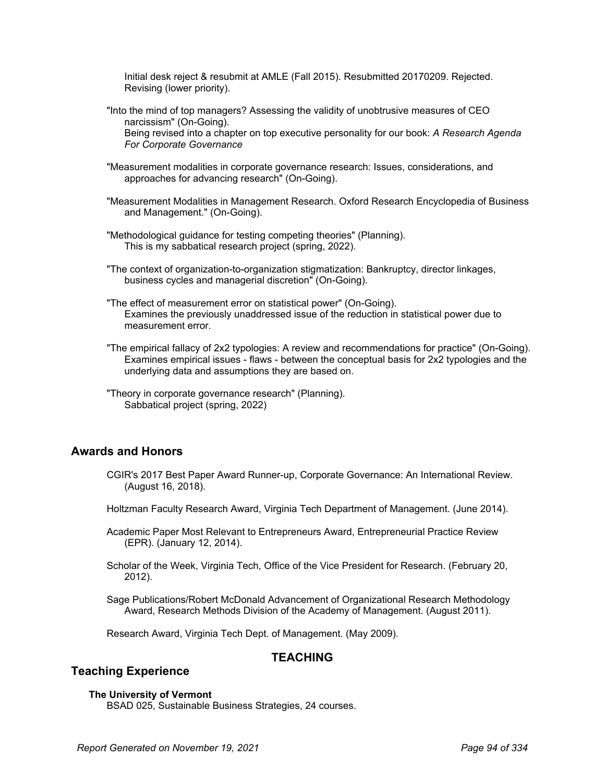Initial desk reject & resubmit at AMLE (Fall 2015). Resubmitted 20170209. Rejected. Revising (lower priority).

"Into the mind of top managers? Assessing the validity of unobtrusive measures of CEO narcissism" (On-Going).

Being revised into a chapter on top executive personality for our book: *A Research Agenda For Corporate Governance*

- "Measurement modalities in corporate governance research: Issues, considerations, and approaches for advancing research" (On-Going).
- "Measurement Modalities in Management Research. Oxford Research Encyclopedia of Business and Management." (On-Going).
- "Methodological guidance for testing competing theories" (Planning). This is my sabbatical research project (spring, 2022).
- "The context of organization-to-organization stigmatization: Bankruptcy, director linkages, business cycles and managerial discretion" (On-Going).
- "The effect of measurement error on statistical power" (On-Going). Examines the previously unaddressed issue of the reduction in statistical power due to measurement error.
- "The empirical fallacy of 2x2 typologies: A review and recommendations for practice" (On-Going). Examines empirical issues - flaws - between the conceptual basis for 2x2 typologies and the underlying data and assumptions they are based on.
- "Theory in corporate governance research" (Planning). Sabbatical project (spring, 2022)

### **Awards and Honors**

- CGIR's 2017 Best Paper Award Runner-up, Corporate Governance: An International Review. (August 16, 2018).
- Holtzman Faculty Research Award, Virginia Tech Department of Management. (June 2014).
- Academic Paper Most Relevant to Entrepreneurs Award, Entrepreneurial Practice Review (EPR). (January 12, 2014).
- Scholar of the Week, Virginia Tech, Office of the Vice President for Research. (February 20, 2012).
- Sage Publications/Robert McDonald Advancement of Organizational Research Methodology Award, Research Methods Division of the Academy of Management. (August 2011).

Research Award, Virginia Tech Dept. of Management. (May 2009).

## **TEACHING**

## **Teaching Experience**

#### **The University of Vermont**

BSAD 025, Sustainable Business Strategies, 24 courses.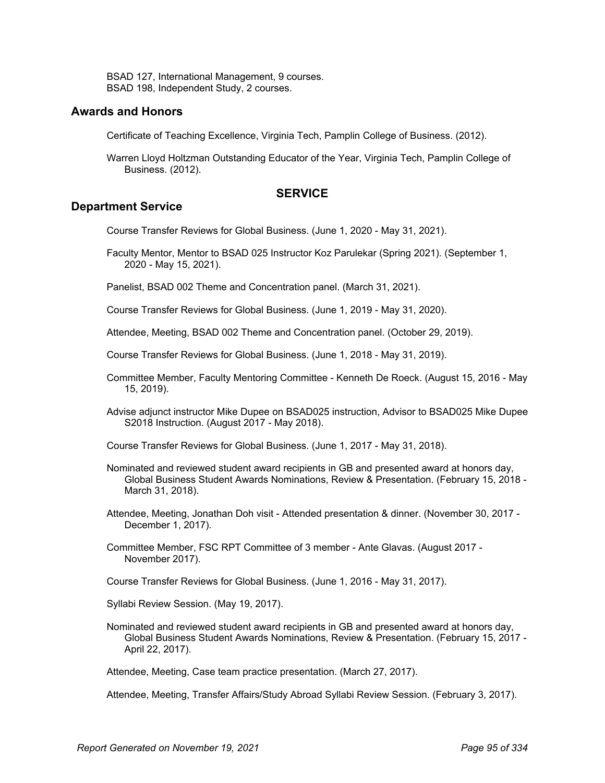BSAD 127, International Management, 9 courses. BSAD 198, Independent Study, 2 courses.

### **Awards and Honors**

Certificate of Teaching Excellence, Virginia Tech, Pamplin College of Business. (2012).

Warren Lloyd Holtzman Outstanding Educator of the Year, Virginia Tech, Pamplin College of Business. (2012).

### **SERVICE**

### **Department Service**

Course Transfer Reviews for Global Business. (June 1, 2020 - May 31, 2021).

Faculty Mentor, Mentor to BSAD 025 Instructor Koz Parulekar (Spring 2021). (September 1, 2020 - May 15, 2021).

Panelist, BSAD 002 Theme and Concentration panel. (March 31, 2021).

Course Transfer Reviews for Global Business. (June 1, 2019 - May 31, 2020).

Attendee, Meeting, BSAD 002 Theme and Concentration panel. (October 29, 2019).

Course Transfer Reviews for Global Business. (June 1, 2018 - May 31, 2019).

- Committee Member, Faculty Mentoring Committee Kenneth De Roeck. (August 15, 2016 May 15, 2019).
- Advise adjunct instructor Mike Dupee on BSAD025 instruction, Advisor to BSAD025 Mike Dupee S2018 Instruction. (August 2017 - May 2018).

Course Transfer Reviews for Global Business. (June 1, 2017 - May 31, 2018).

- Nominated and reviewed student award recipients in GB and presented award at honors day, Global Business Student Awards Nominations, Review & Presentation. (February 15, 2018 - March 31, 2018).
- Attendee, Meeting, Jonathan Doh visit Attended presentation & dinner. (November 30, 2017 December 1, 2017).

Committee Member, FSC RPT Committee of 3 member - Ante Glavas. (August 2017 - November 2017).

Course Transfer Reviews for Global Business. (June 1, 2016 - May 31, 2017).

Syllabi Review Session. (May 19, 2017).

Nominated and reviewed student award recipients in GB and presented award at honors day, Global Business Student Awards Nominations, Review & Presentation. (February 15, 2017 - April 22, 2017).

Attendee, Meeting, Case team practice presentation. (March 27, 2017).

Attendee, Meeting, Transfer Affairs/Study Abroad Syllabi Review Session. (February 3, 2017).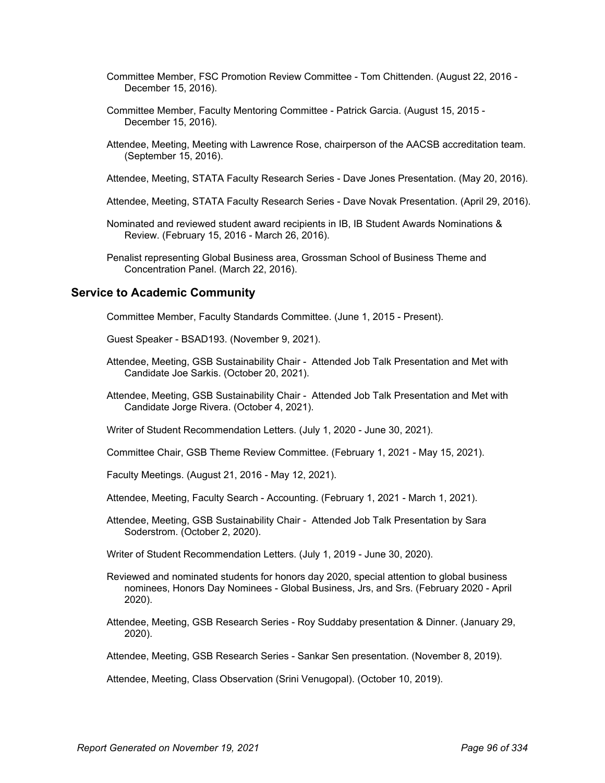- Committee Member, FSC Promotion Review Committee Tom Chittenden. (August 22, 2016 December 15, 2016).
- Committee Member, Faculty Mentoring Committee Patrick Garcia. (August 15, 2015 December 15, 2016).
- Attendee, Meeting, Meeting with Lawrence Rose, chairperson of the AACSB accreditation team. (September 15, 2016).
- Attendee, Meeting, STATA Faculty Research Series Dave Jones Presentation. (May 20, 2016).
- Attendee, Meeting, STATA Faculty Research Series Dave Novak Presentation. (April 29, 2016).
- Nominated and reviewed student award recipients in IB, IB Student Awards Nominations & Review. (February 15, 2016 - March 26, 2016).
- Penalist representing Global Business area, Grossman School of Business Theme and Concentration Panel. (March 22, 2016).

#### **Service to Academic Community**

Committee Member, Faculty Standards Committee. (June 1, 2015 - Present).

Guest Speaker - BSAD193. (November 9, 2021).

- Attendee, Meeting, GSB Sustainability Chair Attended Job Talk Presentation and Met with Candidate Joe Sarkis. (October 20, 2021).
- Attendee, Meeting, GSB Sustainability Chair Attended Job Talk Presentation and Met with Candidate Jorge Rivera. (October 4, 2021).
- Writer of Student Recommendation Letters. (July 1, 2020 June 30, 2021).
- Committee Chair, GSB Theme Review Committee. (February 1, 2021 May 15, 2021).
- Faculty Meetings. (August 21, 2016 May 12, 2021).
- Attendee, Meeting, Faculty Search Accounting. (February 1, 2021 March 1, 2021).
- Attendee, Meeting, GSB Sustainability Chair Attended Job Talk Presentation by Sara Soderstrom. (October 2, 2020).
- Writer of Student Recommendation Letters. (July 1, 2019 June 30, 2020).
- Reviewed and nominated students for honors day 2020, special attention to global business nominees, Honors Day Nominees - Global Business, Jrs, and Srs. (February 2020 - April 2020).
- Attendee, Meeting, GSB Research Series Roy Suddaby presentation & Dinner. (January 29, 2020).
- Attendee, Meeting, GSB Research Series Sankar Sen presentation. (November 8, 2019).

Attendee, Meeting, Class Observation (Srini Venugopal). (October 10, 2019).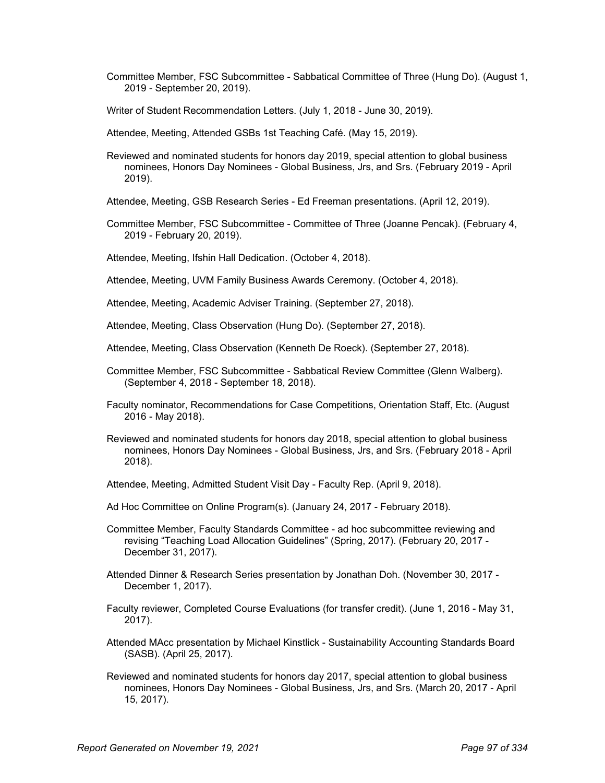- Committee Member, FSC Subcommittee Sabbatical Committee of Three (Hung Do). (August 1, 2019 - September 20, 2019).
- Writer of Student Recommendation Letters. (July 1, 2018 June 30, 2019).
- Attendee, Meeting, Attended GSBs 1st Teaching Café. (May 15, 2019).
- Reviewed and nominated students for honors day 2019, special attention to global business nominees, Honors Day Nominees - Global Business, Jrs, and Srs. (February 2019 - April 2019).
- Attendee, Meeting, GSB Research Series Ed Freeman presentations. (April 12, 2019).
- Committee Member, FSC Subcommittee Committee of Three (Joanne Pencak). (February 4, 2019 - February 20, 2019).
- Attendee, Meeting, Ifshin Hall Dedication. (October 4, 2018).
- Attendee, Meeting, UVM Family Business Awards Ceremony. (October 4, 2018).
- Attendee, Meeting, Academic Adviser Training. (September 27, 2018).
- Attendee, Meeting, Class Observation (Hung Do). (September 27, 2018).
- Attendee, Meeting, Class Observation (Kenneth De Roeck). (September 27, 2018).
- Committee Member, FSC Subcommittee Sabbatical Review Committee (Glenn Walberg). (September 4, 2018 - September 18, 2018).
- Faculty nominator, Recommendations for Case Competitions, Orientation Staff, Etc. (August 2016 - May 2018).
- Reviewed and nominated students for honors day 2018, special attention to global business nominees, Honors Day Nominees - Global Business, Jrs, and Srs. (February 2018 - April 2018).
- Attendee, Meeting, Admitted Student Visit Day Faculty Rep. (April 9, 2018).
- Ad Hoc Committee on Online Program(s). (January 24, 2017 February 2018).
- Committee Member, Faculty Standards Committee ad hoc subcommittee reviewing and revising "Teaching Load Allocation Guidelines" (Spring, 2017). (February 20, 2017 - December 31, 2017).
- Attended Dinner & Research Series presentation by Jonathan Doh. (November 30, 2017 December 1, 2017).
- Faculty reviewer, Completed Course Evaluations (for transfer credit). (June 1, 2016 May 31, 2017).
- Attended MAcc presentation by Michael Kinstlick Sustainability Accounting Standards Board (SASB). (April 25, 2017).
- Reviewed and nominated students for honors day 2017, special attention to global business nominees, Honors Day Nominees - Global Business, Jrs, and Srs. (March 20, 2017 - April 15, 2017).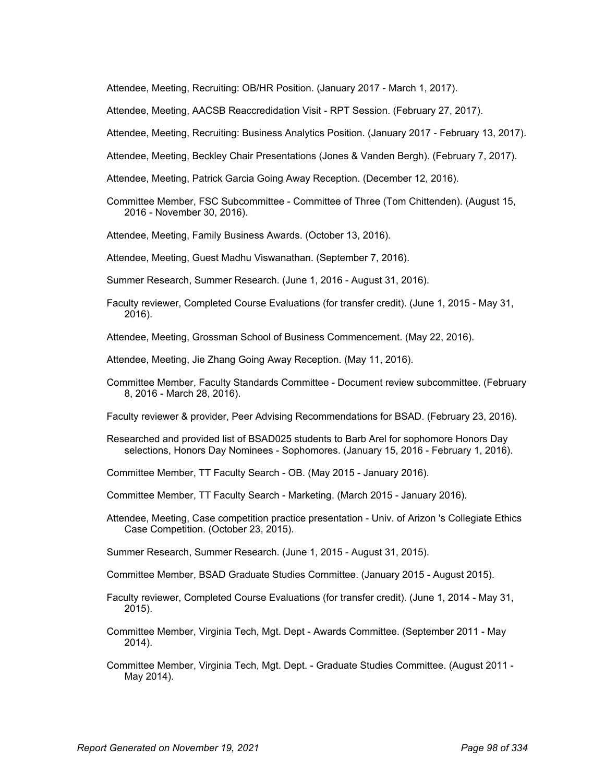Attendee, Meeting, Recruiting: OB/HR Position. (January 2017 - March 1, 2017).

Attendee, Meeting, AACSB Reaccredidation Visit - RPT Session. (February 27, 2017).

Attendee, Meeting, Recruiting: Business Analytics Position. (January 2017 - February 13, 2017).

Attendee, Meeting, Beckley Chair Presentations (Jones & Vanden Bergh). (February 7, 2017).

- Attendee, Meeting, Patrick Garcia Going Away Reception. (December 12, 2016).
- Committee Member, FSC Subcommittee Committee of Three (Tom Chittenden). (August 15, 2016 - November 30, 2016).

Attendee, Meeting, Family Business Awards. (October 13, 2016).

Attendee, Meeting, Guest Madhu Viswanathan. (September 7, 2016).

Summer Research, Summer Research. (June 1, 2016 - August 31, 2016).

Faculty reviewer, Completed Course Evaluations (for transfer credit). (June 1, 2015 - May 31, 2016).

Attendee, Meeting, Grossman School of Business Commencement. (May 22, 2016).

Attendee, Meeting, Jie Zhang Going Away Reception. (May 11, 2016).

Committee Member, Faculty Standards Committee - Document review subcommittee. (February 8, 2016 - March 28, 2016).

Faculty reviewer & provider, Peer Advising Recommendations for BSAD. (February 23, 2016).

Researched and provided list of BSAD025 students to Barb Arel for sophomore Honors Day selections, Honors Day Nominees - Sophomores. (January 15, 2016 - February 1, 2016).

Committee Member, TT Faculty Search - OB. (May 2015 - January 2016).

- Committee Member, TT Faculty Search Marketing. (March 2015 January 2016).
- Attendee, Meeting, Case competition practice presentation Univ. of Arizon 's Collegiate Ethics Case Competition. (October 23, 2015).

Summer Research, Summer Research. (June 1, 2015 - August 31, 2015).

Committee Member, BSAD Graduate Studies Committee. (January 2015 - August 2015).

- Faculty reviewer, Completed Course Evaluations (for transfer credit). (June 1, 2014 May 31, 2015).
- Committee Member, Virginia Tech, Mgt. Dept Awards Committee. (September 2011 May 2014).
- Committee Member, Virginia Tech, Mgt. Dept. Graduate Studies Committee. (August 2011 May 2014).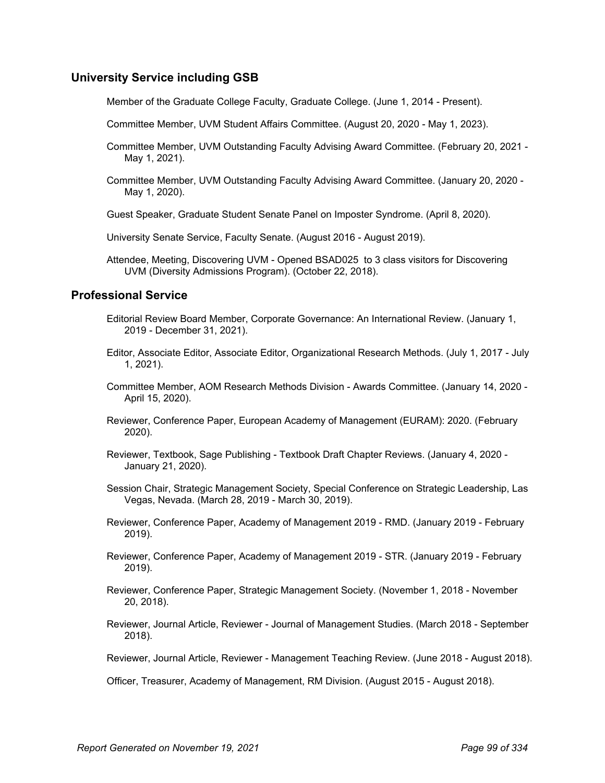## **University Service including GSB**

Member of the Graduate College Faculty, Graduate College. (June 1, 2014 - Present).

- Committee Member, UVM Student Affairs Committee. (August 20, 2020 May 1, 2023).
- Committee Member, UVM Outstanding Faculty Advising Award Committee. (February 20, 2021 May 1, 2021).
- Committee Member, UVM Outstanding Faculty Advising Award Committee. (January 20, 2020 May 1, 2020).
- Guest Speaker, Graduate Student Senate Panel on Imposter Syndrome. (April 8, 2020).
- University Senate Service, Faculty Senate. (August 2016 August 2019).
- Attendee, Meeting, Discovering UVM Opened BSAD025 to 3 class visitors for Discovering UVM (Diversity Admissions Program). (October 22, 2018).

### **Professional Service**

- Editorial Review Board Member, Corporate Governance: An International Review. (January 1, 2019 - December 31, 2021).
- Editor, Associate Editor, Associate Editor, Organizational Research Methods. (July 1, 2017 July 1, 2021).
- Committee Member, AOM Research Methods Division Awards Committee. (January 14, 2020 April 15, 2020).
- Reviewer, Conference Paper, European Academy of Management (EURAM): 2020. (February 2020).
- Reviewer, Textbook, Sage Publishing Textbook Draft Chapter Reviews. (January 4, 2020 January 21, 2020).
- Session Chair, Strategic Management Society, Special Conference on Strategic Leadership, Las Vegas, Nevada. (March 28, 2019 - March 30, 2019).
- Reviewer, Conference Paper, Academy of Management 2019 RMD. (January 2019 February 2019).
- Reviewer, Conference Paper, Academy of Management 2019 STR. (January 2019 February 2019).
- Reviewer, Conference Paper, Strategic Management Society. (November 1, 2018 November 20, 2018).
- Reviewer, Journal Article, Reviewer Journal of Management Studies. (March 2018 September 2018).
- Reviewer, Journal Article, Reviewer Management Teaching Review. (June 2018 August 2018).

Officer, Treasurer, Academy of Management, RM Division. (August 2015 - August 2018).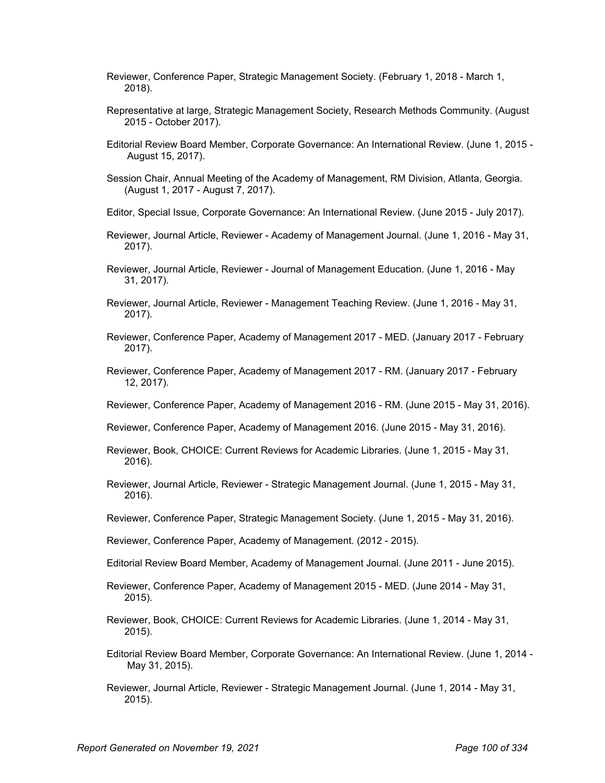- Reviewer, Conference Paper, Strategic Management Society. (February 1, 2018 March 1, 2018).
- Representative at large, Strategic Management Society, Research Methods Community. (August 2015 - October 2017).
- Editorial Review Board Member, Corporate Governance: An International Review. (June 1, 2015 August 15, 2017).
- Session Chair, Annual Meeting of the Academy of Management, RM Division, Atlanta, Georgia. (August 1, 2017 - August 7, 2017).
- Editor, Special Issue, Corporate Governance: An International Review. (June 2015 July 2017).
- Reviewer, Journal Article, Reviewer Academy of Management Journal. (June 1, 2016 May 31, 2017).
- Reviewer, Journal Article, Reviewer Journal of Management Education. (June 1, 2016 May 31, 2017).
- Reviewer, Journal Article, Reviewer Management Teaching Review. (June 1, 2016 May 31, 2017).
- Reviewer, Conference Paper, Academy of Management 2017 MED. (January 2017 February 2017).
- Reviewer, Conference Paper, Academy of Management 2017 RM. (January 2017 February 12, 2017).
- Reviewer, Conference Paper, Academy of Management 2016 RM. (June 2015 May 31, 2016).
- Reviewer, Conference Paper, Academy of Management 2016. (June 2015 May 31, 2016).
- Reviewer, Book, CHOICE: Current Reviews for Academic Libraries. (June 1, 2015 May 31, 2016).
- Reviewer, Journal Article, Reviewer Strategic Management Journal. (June 1, 2015 May 31, 2016).
- Reviewer, Conference Paper, Strategic Management Society. (June 1, 2015 May 31, 2016).
- Reviewer, Conference Paper, Academy of Management. (2012 2015).
- Editorial Review Board Member, Academy of Management Journal. (June 2011 June 2015).
- Reviewer, Conference Paper, Academy of Management 2015 MED. (June 2014 May 31, 2015).
- Reviewer, Book, CHOICE: Current Reviews for Academic Libraries. (June 1, 2014 May 31, 2015).
- Editorial Review Board Member, Corporate Governance: An International Review. (June 1, 2014 May 31, 2015).
- Reviewer, Journal Article, Reviewer Strategic Management Journal. (June 1, 2014 May 31, 2015).